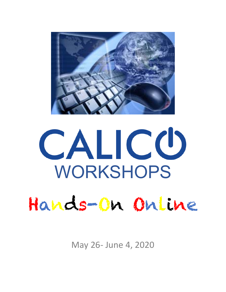

# CALICO WORKSHOPS Hands-On Online

May 26- June 4, 2020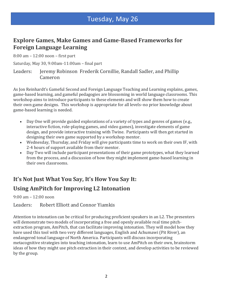# Tuesday, May 26

#### **Explore Games, Make Games and Game-Based Frameworks for Foreign Language Learning**

 $8:00$  am  $- 12:00$  noon  $-$  first part

Saturday, May 30, 9:00am-11:00am - final part

Leaders: Jeremy Robinson Frederik Cornillie, Randall Sadler, and Phillip Cameron

As Jon Reinhardt's Gameful Second and Foreign Language Teaching and Learning explains, games, game-based learning, and gameful pedagogies are blossoming in world language classrooms. This workshop aims to introduce participants to these elements and will show them how to create their own game designs. This workshop is appropriate for all levels–no prior knowledge about game-based learning is needed.

- Day One will provide guided explorations of a variety of types and genres of games (e.g., interactive fiction, role-playing games, and video games), investigate elements of game design, and provide interactive training with Twine. Participants will then get started in designing their own game supported by a workshop mentor.
- Wednesday, Thursday, and Friday will give participants time to work on their own IF, with 2-4 hours of support available from their mentor.
- Day Two will include participant presentations of their game prototypes, what they learned from the process, and a discussion of how they might implement game-based learning in their own classrooms.

## It's Not Just What You Say, It's How You Say It:

#### **Using AmPitch for Improving L2 Intonation**

 $9:00 \text{ am} - 12:00 \text{ non}$ 

Leaders: Robert Elliott and Connor Yiamkis

Attention to intonation can be critical for producing proficient speakers in an L2. The presenters will demonstrate two models of incorporating a free and openly available real time pitchextraction program, AmPitch, that can facilitate improving intonation. They will model how they have used this tool with two very different languages, English and Achumawi (Pit River), an endangered tonal language of North America. Participants will discuss incorporating metacognitive strategies into teaching intonation, learn to use AmPitch on their own, brainstorm ideas of how they might use pitch extraction in their context, and develop activities to be reviewed by the group.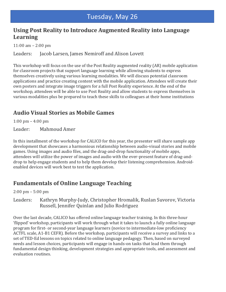## Using Post Reality to Introduce Augmented Reality into Language **Learning**

11:00 am  $- 2:00 \text{ pm}$ 

Leaders: Jacob Larsen, James Nemiroff and Alison Lovett

This workshop will focus on the use of the Post Reality augmented reality (AR) mobile application for classroom projects that support language learning while allowing students to express themselves creatively using various learning modalities. We will discuss potential classroom applications and practice creating content with the mobile application. Attendees will create their own posters and integrate image triggers for a full Post Reality experience. At the end of the workshop, attendees will be able to use Post Reality and allow students to express themselves in various modalities plus be prepared to teach these skills to colleagues at their home institutions

# **Audio Visual Stories as Mobile Games**

1:00 pm  $-$  4:00 pm

Leader: Mahmoud Amer

In this installment of the workshop for CALICO for this year, the presenter will share sample app development that showcases a harmonious relationship between audio-visual stories and mobile games. Using images and audio files, and the drag-and-drop functionality of mobile apps, attendees will utilize the power of images and audio with the ever-present feature of drag-anddrop to help engage students and to help them develop their listening comprehension. Androidenabled devices will work best to test the application.

#### **Fundamentals of Online Language Teaching**

 $2:00 \text{ pm} - 5:00 \text{ pm}$ 

Leaders: Kathryn Murphy-Judy, Christopher Hromalik, Ruslan Suvorov, Victoria Russell, Jennifer Quinlan and Julio Rodriguez

Over the last decade, CALICO has offered online language teacher training. In this three-hour flipped' workshop, participants will work through what it takes to launch a fully online language program for first- or second-year language learners (novice to intermediate-low proficiency ACTFL scale, A1-B1 CEFR). Before the workshop, participants will receive a survey and links to a set of TED-Ed lessons on topics related to online language pedagogy. Then, based on surveyed needs and lesson choices, participants will engage in hands-on tasks that lead them through fundamental design thinking, development strategies and appropriate tools, and assessment and evaluation routines.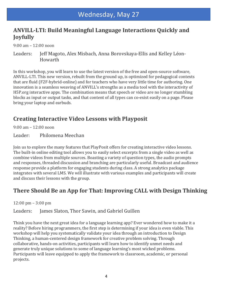#### ANVILL-LTI: Build Meaningful Language Interactions Quickly and **Joyfully**

9:00 am – 12:00 noon

Leaders: Jeff Magoto, Alex Misbach, Anna Borovskaya-Ellis and Kelley Léon-Howarth

In this workshop, you will learn to use the latest version of the free and open-source software, ANVILL-LTI. This new version, rebuilt from the ground up, is optimized for pedagogical contexts that are fluid (F2F-hybrid-online) and for teachers who have very little time for authoring. One innovation is a seamless weaving of ANVILL's strengths as a media tool with the interactivity of H5P.org interactive apps. The combination means that speech or video are no longer stumbling blocks as input or output tasks, and that content of all types can co-exist easily on a page. Please bring your laptop and earbuds.

## **Creating Interactive Video Lessons with Playposit**

 $9:00 \text{ am} - 12:00 \text{ noon}$ 

Leader: Philomena Meechan

Join us to explore the many features that PlayPosit offers for creating interactive video lessons. The built-in online editing tool allows you to easily select excerpts from a single video as well as combine videos from multiple sources. Boasting a variety of question types, the audio prompts and responses, threaded discussion and branching are particularly useful. Broadcast and audience response provide a platform for engaging students during class. A strong analytics package integrates with several LMS. We will illustrate with various examples and participants will create and discuss their lessons with the group.

#### There Should Be an App for That: Improving CALL with Design Thinking

 $12:00 \text{ pm} - 3:00 \text{ pm}$ 

Leaders: James Slaton, Thor Sawin, and Gabriel Guillen

Think you have the next great idea for a language learning app? Ever wondered how to make it a reality? Before hiring programmers, the first step is determining if your idea is even viable. This workshop will help you systematically validate your idea through an introduction to Design Thinking, a human-centered design framework for creative problem solving. Through collaborative, hands-on activities, participants will learn how to identify unmet needs and generate truly unique solutions to some of language learning's most wicked problems. Participants will leave equipped to apply the framework to classroom, academic, or personal projects.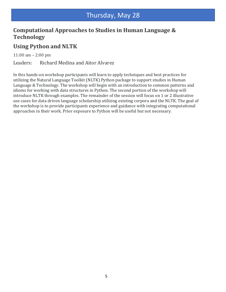# Thursday, May 28

## Computational Approaches to Studies in Human Language & **Technology**

#### **Using Python and NLTK**

11:00 am  $- 2:00 \text{ pm}$ 

Leaders: Richard Medina and Aitor Alvarez

In this hands-on workshop participants will learn to apply techniques and best practices for utilizing the Natural Language Toolkit (NLTK) Python package to support studies in Human Language & Technology. The workshop will begin with an introduction to common patterns and idioms for working with data structures in Python. The second portion of the workshop will introduce NLTK through examples. The remainder of the session will focus on 1 or 2 illustrative use cases for data driven language scholarship utilizing existing corpora and the NLTK. The goal of the workshop is to provide participants experience and guidance with integrating computational approaches in their work. Prior exposure to Python will be useful but not necessary.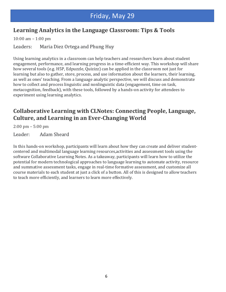# Friday, May 29

## Learning Analytics in the Language Classroom: Tips & Tools

10:00 am  $-$  1:00 pm

Leaders: Maria Diez Ortega and Phung Huy

Using learning analytics in a classroom can help teachers and researchers learn about student engagement, performance, and learning progress in a time-efficient way. This workshop will share how several tools (e.g. H5P, Edpuzzle, Quizizz) can be applied in the classroom not just for learning but also to gather, store, process, and use information about the learners, their learning, as well as ones' teaching. From a language analytic perspective, we will discuss and demonstrate how to collect and process linguistic and nonlinguistic data (engagement, time on task, metacognition, feedback), with these tools, followed by a hands-on activity for attendees to experiment using learning analytics.

## **Collaborative Learning with CLNotes: Connecting People, Language, Culture, and Learning in an Ever-Changing World**

 $2:00 \text{ pm} - 5:00 \text{ pm}$ 

Leader: Adam Sheard

In this hands-on workshop, participants will learn about how they can create and deliver studentcentered and multimodal language learning resources, activities and assessment tools using the software Collaborative Learning Notes. As a takeaway, participants will learn how to utilize the potential for modern technological approaches to language learning to automate activity, resource and summative assessment tasks, engage in real-time formative assessment, and customize all course materials to each student at just a click of a button. All of this is designed to allow teachers to teach more efficiently, and learners to learn more effectively.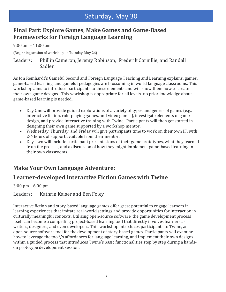# Saturday, May 30

## **Final Part: Explore Games, Make Games and Game-Based Frameworks for Foreign Language Learning**

 $9:00 \text{ am} - 11:00 \text{ am}$ 

(Beginning session of workshop on Tuesday, May 26)

Leaders: Phillip Cameron, Jeremy Robinson, Frederik Cornillie, and Randall Sadler.

As Jon Reinhardt's Gameful Second and Foreign Language Teaching and Learning explains, games, game-based learning, and gameful pedagogies are blossoming in world language classrooms. This workshop aims to introduce participants to these elements and will show them how to create their own game designs. This workshop is appropriate for all levels–no prior knowledge about game-based learning is needed.

- Day One will provide guided explorations of a variety of types and genres of games (e.g., interactive fiction, role-playing games, and video games), investigate elements of game design, and provide interactive training with Twine. Participants will then get started in designing their own game supported by a workshop mentor.
- Wednesday, Thursday, and Friday will give participants time to work on their own IF, with 2-4 hours of support available from their mentor.
- Day Two will include participant presentations of their game prototypes, what they learned from the process, and a discussion of how they might implement game-based learning in their own classrooms.

# **Make Your Own Language Adventure:**

## Learner-developed Interactive Fiction Games with Twine

 $3:00 \text{ pm} - 6:00 \text{ pm}$ 

Leaders: Kathrin Kaiser and Ben Foley

Interactive fiction and story-based language games offer great potential to engage learners in learning experiences that imitate real-world settings and provide opportunities for interaction in culturally meaningful contexts. Utilizing open-source software, the game development process itself can become a compelling project-based learning tool that directly involves learners as writers, designers, and even developers. This workshop introduces participants to Twine, an open-source software tool for the development of story-based games. Participants will examine how to leverage the tool\'s affordances for language learning, and implement their own designs within a guided process that introduces Twine's basic functionalities step by step during a handson prototype development session.